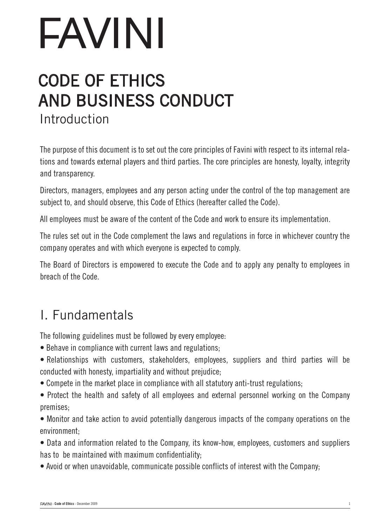## CODE OF ETHICS AND BUSINESS CONDUCT

Introduction

The purpose of this document is to set out the core principles of Favini with respect to its internal relations and towards external players and third parties. The core principles are honesty, loyalty, integrity and transparency.

Directors, managers, employees and any person acting under the control of the top management are subject to, and should observe, this Code of Ethics (hereafter called the Code).

All employees must be aware of the content of the Code and work to ensure its implementation.

The rules set out in the Code complement the laws and regulations in force in whichever country the company operates and with which everyone is expected to comply.

The Board of Directors is empowered to execute the Code and to apply any penalty to employees in breach of the Code.

## I. Fundamentals

The following guidelines must be followed by every employee:

- Behave in compliance with current laws and regulations;
- Relationships with customers, stakeholders, employees, suppliers and third parties will be conducted with honesty, impartiality and without prejudice;
- Compete in the market place in compliance with all statutory anti-trust regulations;
- Protect the health and safety of all employees and external personnel working on the Company premises;

• Monitor and take action to avoid potentially dangerous impacts of the company operations on the environment;

• Data and information related to the Company, its know-how, employees, customers and suppliers has to be maintained with maximum confidentiality;

• Avoid or when unavoidable, communicate possible conflicts of interest with the Company;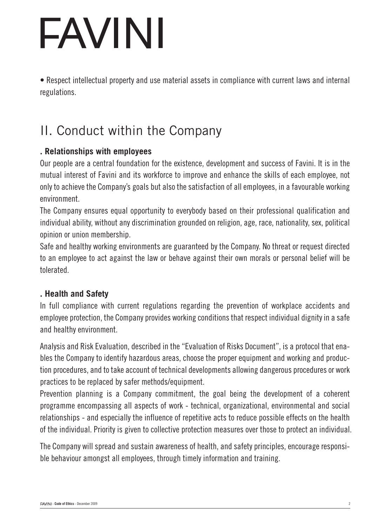• Respect intellectual property and use material assets in compliance with current laws and internal regulations.

## II. Conduct within the Company

### **. Relationships with employees**

Our people are a central foundation for the existence, development and success of Favini. It is in the mutual interest of Favini and its workforce to improve and enhance the skills of each employee, not only to achieve the Company's goals but also the satisfaction of all employees, in a favourable working environment.

The Company ensures equal opportunity to everybody based on their professional qualification and individual ability, without any discrimination grounded on religion, age, race, nationality, sex, political opinion or union membership.

Safe and healthy working environments are guaranteed by the Company. No threat or request directed to an employee to act against the law or behave against their own morals or personal belief will be tolerated.

### **. Health and Safety**

In full compliance with current regulations regarding the prevention of workplace accidents and employee protection, the Company provides working conditions that respect individual dignity in a safe and healthy environment.

Analysis and Risk Evaluation, described in the "Evaluation of Risks Document", is a protocol that enables the Company to identify hazardous areas, choose the proper equipment and working and production procedures, and to take account of technical developments allowing dangerous procedures or work practices to be replaced by safer methods/equipment.

Prevention planning is a Company commitment, the goal being the development of a coherent programme encompassing all aspects of work - technical, organizational, environmental and social relationships - and especially the influence of repetitive acts to reduce possible effects on the health of the individual. Priority is given to collective protection measures over those to protect an individual.

The Company will spread and sustain awareness of health, and safety principles, encourage responsible behaviour amongst all employees, through timely information and training.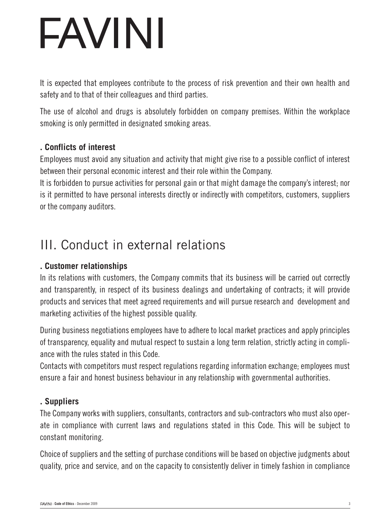It is expected that employees contribute to the process of risk prevention and their own health and safety and to that of their colleagues and third parties.

The use of alcohol and drugs is absolutely forbidden on company premises. Within the workplace smoking is only permitted in designated smoking areas.

### **. Conflicts of interest**

Employees must avoid any situation and activity that might give rise to a possible conflict of interest between their personal economic interest and their role within the Company.

It is forbidden to pursue activities for personal gain or that might damage the company's interest; nor is it permitted to have personal interests directly or indirectly with competitors, customers, suppliers or the company auditors.

## III. Conduct in external relations

### **. Customer relationships**

In its relations with customers, the Company commits that its business will be carried out correctly and transparently, in respect of its business dealings and undertaking of contracts; it will provide products and services that meet agreed requirements and will pursue research and development and marketing activities of the highest possible quality.

During business negotiations employees have to adhere to local market practices and apply principles of transparency, equality and mutual respect to sustain a long term relation, strictly acting in compliance with the rules stated in this Code.

Contacts with competitors must respect regulations regarding information exchange; employees must ensure a fair and honest business behaviour in any relationship with governmental authorities.

### **. Suppliers**

The Company works with suppliers, consultants, contractors and sub-contractors who must also operate in compliance with current laws and regulations stated in this Code. This will be subject to constant monitoring.

Choice of suppliers and the setting of purchase conditions will be based on objective judgments about quality, price and service, and on the capacity to consistently deliver in timely fashion in compliance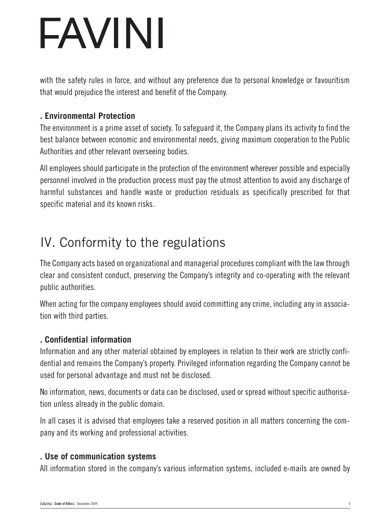with the safety rules in force, and without any preference due to personal knowledge or favouritism that would prejudice the interest and benefit of the Company.

### **. Environmental Protection**

The environment is a prime asset of society. To safeguard it, the Company plans its activity to find the best balance between economic and environmental needs, giving maximum cooperation to the Public Authorities and other relevant overseeing bodies.

All employees should participate in the protection of the environment wherever possible and especially personnel involved in the production process must pay the utmost attention to avoid any discharge of harmful substances and handle waste or production residuals as specifically prescribed for that specific material and its known risks.

## IV. Conformity to the regulations

The Company acts based on organizational and managerial procedures compliant with the law through clear and consistent conduct, preserving the Company's integrity and co-operating with the relevant public authorities.

When acting for the company employees should avoid committing any crime, including any in association with third parties.

## **. Confidential information**

Information and any other material obtained by employees in relation to their work are strictly confidential and remains the Company's property. Privileged information regarding the Company cannot be used for personal advantage and must not be disclosed.

No information, news, documents or data can be disclosed, used or spread without specific authorisation unless already in the public domain.

In all cases it is advised that employees take a reserved position in all matters concerning the company and its working and professional activities.

### **. Use of communication systems**

All information stored in the company's various information systems, included e-mails are owned by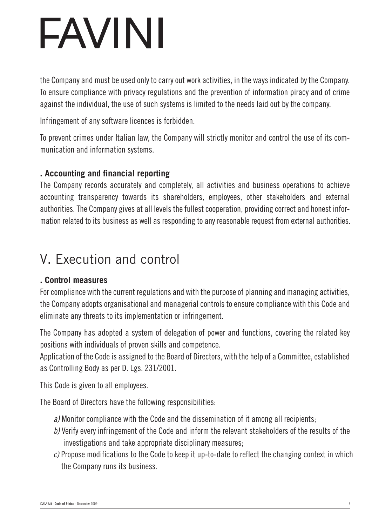the Company and must be used only to carry out work activities, in the ways indicated by the Company. To ensure compliance with privacy regulations and the prevention of information piracy and of crime against the individual, the use of such systems is limited to the needs laid out by the company.

Infringement of any software licences is forbidden.

To prevent crimes under Italian law, the Company will strictly monitor and control the use of its communication and information systems.

### **. Accounting and financial reporting**

The Company records accurately and completely, all activities and business operations to achieve accounting transparency towards its shareholders, employees, other stakeholders and external authorities. The Company gives at all levels the fullest cooperation, providing correct and honest information related to its business as well as responding to any reasonable request from external authorities.

## V. Execution and control

#### **. Control measures**

For compliance with the current regulations and with the purpose of planning and managing activities, the Company adopts organisational and managerial controls to ensure compliance with this Code and eliminate any threats to its implementation or infringement.

The Company has adopted a system of delegation of power and functions, covering the related key positions with individuals of proven skills and competence.

Application of the Code is assigned to the Board of Directors, with the help of a Committee, established as Controlling Body as per D. Lgs. 231/2001.

This Code is given to all employees.

The Board of Directors have the following responsibilities:

- *a)* Monitor compliance with the Code and the dissemination of it among all recipients;
- *b)* Verify every infringement of the Code and inform the relevant stakeholders of the results of the investigations and take appropriate disciplinary measures;
- *c)* Propose modifications to the Code to keep it up-to-date to reflect the changing context in which the Company runs its business.